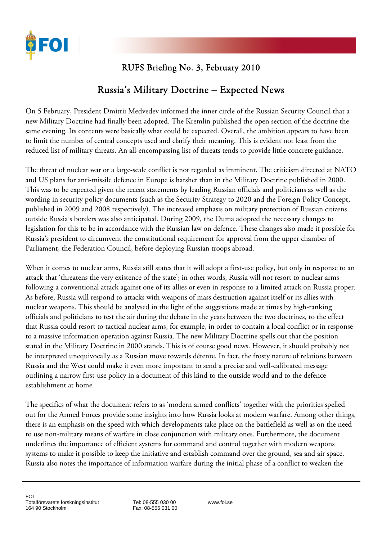

## RUFS Briefing No. 3, February 2010

## Russia's Military Doctrine – Expected News

On 5 February, President Dmitrii Medvedev informed the inner circle of the Russian Security Council that a new Military Doctrine had finally been adopted. The Kremlin published the open section of the doctrine the same evening. Its contents were basically what could be expected. Overall, the ambition appears to have been to limit the number of central concepts used and clarify their meaning. This is evident not least from the reduced list of military threats. An all-encompassing list of threats tends to provide little concrete guidance.

The threat of nuclear war or a large-scale conflict is not regarded as imminent. The criticism directed at NATO and US plans for anti-missile defence in Europe is harsher than in the Military Doctrine published in 2000. This was to be expected given the recent statements by leading Russian officials and politicians as well as the wording in security policy documents (such as the Security Strategy to 2020 and the Foreign Policy Concept, published in 2009 and 2008 respectively). The increased emphasis on military protection of Russian citizens outside Russia's borders was also anticipated. During 2009, the Duma adopted the necessary changes to legislation for this to be in accordance with the Russian law on defence. These changes also made it possible for Russia's president to circumvent the constitutional requirement for approval from the upper chamber of Parliament, the Federation Council, before deploying Russian troops abroad.

When it comes to nuclear arms, Russia still states that it will adopt a first-use policy, but only in response to an attack that 'threatens the very existence of the state'; in other words, Russia will not resort to nuclear arms following a conventional attack against one of its allies or even in response to a limited attack on Russia proper. As before, Russia will respond to attacks with weapons of mass destruction against itself or its allies with nuclear weapons. This should be analysed in the light of the suggestions made at times by high-ranking officials and politicians to test the air during the debate in the years between the two doctrines, to the effect that Russia could resort to tactical nuclear arms, for example, in order to contain a local conflict or in response to a massive information operation against Russia. The new Military Doctrine spells out that the position stated in the Military Doctrine in 2000 stands. This is of course good news. However, it should probably not be interpreted unequivocally as a Russian move towards détente. In fact, the frosty nature of relations between Russia and the West could make it even more important to send a precise and well-calibrated message outlining a narrow first-use policy in a document of this kind to the outside world and to the defence establishment at home.

The specifics of what the document refers to as 'modern armed conflicts' together with the priorities spelled out for the Armed Forces provide some insights into how Russia looks at modern warfare. Among other things, there is an emphasis on the speed with which developments take place on the battlefield as well as on the need to use non-military means of warfare in close conjunction with military ones. Furthermore, the document underlines the importance of efficient systems for command and control together with modern weapons systems to make it possible to keep the initiative and establish command over the ground, sea and air space. Russia also notes the importance of information warfare during the initial phase of a conflict to weaken the

Tel: 08-555 030 00 Fax: 08-555 031 00 www.foi.se